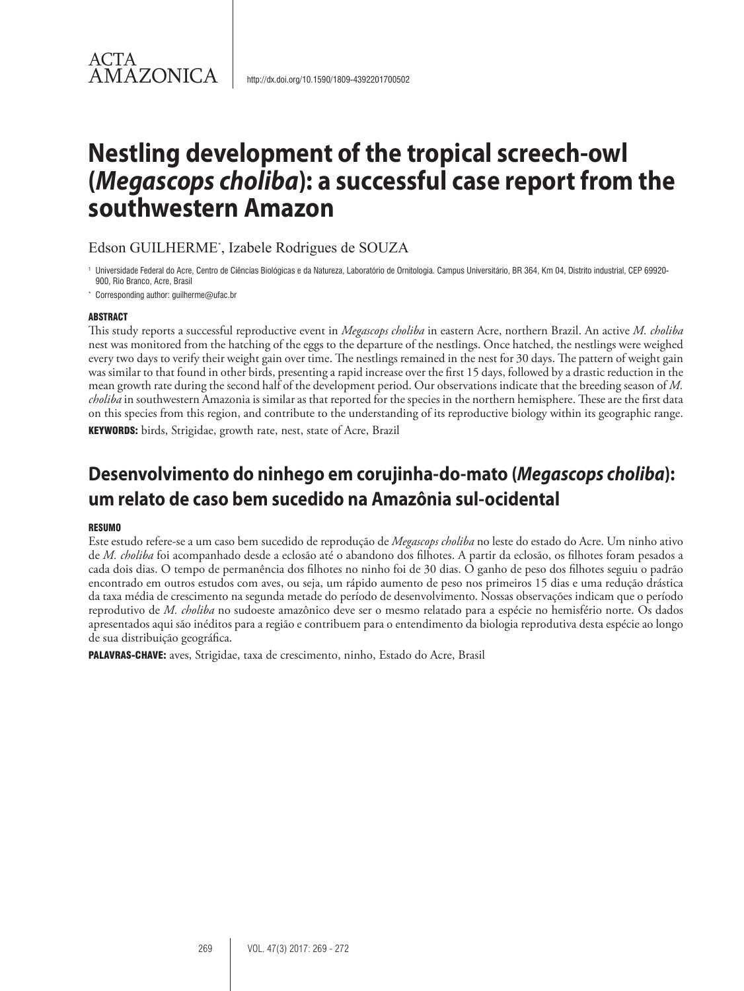## ACTA **AMAZONICA**

# **Nestling development of the tropical screech-owl (***Megascops choliba***): a successful case report from the southwestern Amazon**

## Edson GUILHERME\* , Izabele Rodrigues de SOUZA

<sup>1</sup> Universidade Federal do Acre, Centro de Ciências Biológicas e da Natureza, Laboratório de Ornitologia. Campus Universitário, BR 364, Km 04, Distrito industrial, CEP 69920- 900, Rio Branco, Acre, Brasil

\* Corresponding author: guilherme@ufac.br

### **ABSTRACT**

This study reports a successful reproductive event in *Megascops choliba* in eastern Acre, northern Brazil. An active *M. choliba*  nest was monitored from the hatching of the eggs to the departure of the nestlings. Once hatched, the nestlings were weighed every two days to verify their weight gain over time. The nestlings remained in the nest for 30 days. The pattern of weight gain was similar to that found in other birds, presenting a rapid increase over the first 15 days, followed by a drastic reduction in the mean growth rate during the second half of the development period. Our observations indicate that the breeding season of *M. choliba* in southwestern Amazonia is similar as that reported for the species in the northern hemisphere. These are the first data on this species from this region, and contribute to the understanding of its reproductive biology within its geographic range. KEYWORDS: birds, Strigidae, growth rate, nest, state of Acre, Brazil

## **Desenvolvimento do ninhego em corujinha-do-mato (***Megascops choliba***): um relato de caso bem sucedido na Amazônia sul-ocidental**

#### **RESUMO**

Este estudo refere-se a um caso bem sucedido de reprodução de *Megascops choliba* no leste do estado do Acre. Um ninho ativo de *M. choliba* foi acompanhado desde a eclosão até o abandono dos filhotes. A partir da eclosão, os filhotes foram pesados a cada dois dias. O tempo de permanência dos filhotes no ninho foi de 30 dias. O ganho de peso dos filhotes seguiu o padrão encontrado em outros estudos com aves, ou seja, um rápido aumento de peso nos primeiros 15 dias e uma redução drástica da taxa média de crescimento na segunda metade do período de desenvolvimento. Nossas observações indicam que o período reprodutivo de *M. choliba* no sudoeste amazônico deve ser o mesmo relatado para a espécie no hemisfério norte. Os dados apresentados aqui são inéditos para a região e contribuem para o entendimento da biologia reprodutiva desta espécie ao longo de sua distribuição geográfica.

PALAVRAS-CHAVE: aves, Strigidae, taxa de crescimento, ninho, Estado do Acre, Brasil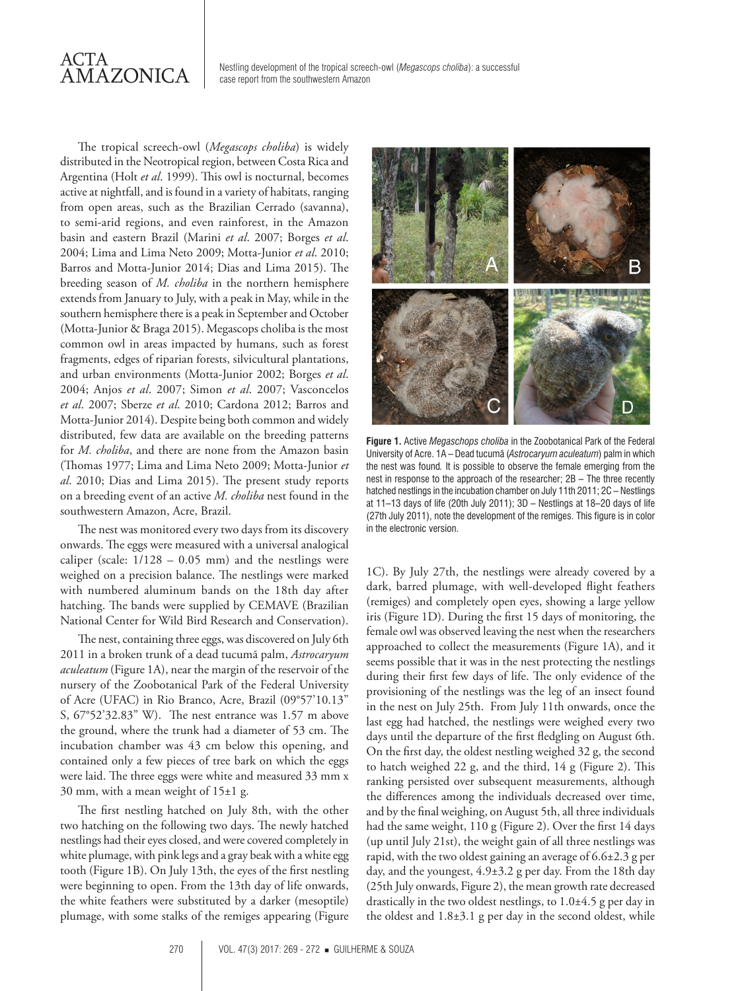### ACTA AMAZONICA

Nestling development of the tropical screech-owl (*Megascops choliba*): a successful case report from the southwestern Amazon

The tropical screech-owl (*Megascops choliba*) is widely distributed in the Neotropical region, between Costa Rica and Argentina (Holt *et al*. 1999). This owl is nocturnal, becomes active at nightfall, and is found in a variety of habitats, ranging from open areas, such as the Brazilian Cerrado (savanna), to semi-arid regions, and even rainforest, in the Amazon basin and eastern Brazil (Marini *et al*. 2007; Borges *et al*. 2004; Lima and Lima Neto 2009; Motta-Junior *et al*. 2010; Barros and Motta-Junior 2014; Dias and Lima 2015). The breeding season of *M. choliba* in the northern hemisphere extends from January to July, with a peak in May, while in the southern hemisphere there is a peak in September and October (Motta-Junior & Braga 2015). Megascops choliba is the most common owl in areas impacted by humans, such as forest fragments, edges of riparian forests, silvicultural plantations, and urban environments (Motta-Junior 2002; Borges *et al*. 2004; Anjos *et al*. 2007; Simon *et al*. 2007; Vasconcelos *et al*. 2007; Sberze *et al*. 2010; Cardona 2012; Barros and Motta-Junior 2014). Despite being both common and widely distributed, few data are available on the breeding patterns for *M. choliba*, and there are none from the Amazon basin (Thomas 1977; Lima and Lima Neto 2009; Motta-Junior *et al*. 2010; Dias and Lima 2015). The present study reports on a breeding event of an active *M. choliba* nest found in the southwestern Amazon, Acre, Brazil.

The nest was monitored every two days from its discovery onwards. The eggs were measured with a universal analogical caliper (scale:  $1/128 - 0.05$  mm) and the nestlings were weighed on a precision balance. The nestlings were marked with numbered aluminum bands on the 18th day after hatching. The bands were supplied by CEMAVE (Brazilian National Center for Wild Bird Research and Conservation).

The nest, containing three eggs, was discovered on July 6th 2011 in a broken trunk of a dead tucumã palm, *Astrocaryum aculeatum* (Figure 1A), near the margin of the reservoir of the nursery of the Zoobotanical Park of the Federal University of Acre (UFAC) in Rio Branco, Acre, Brazil (09°57'10.13" S, 67°52'32.83" W). The nest entrance was 1.57 m above the ground, where the trunk had a diameter of 53 cm. The incubation chamber was 43 cm below this opening, and contained only a few pieces of tree bark on which the eggs were laid. The three eggs were white and measured 33 mm x 30 mm, with a mean weight of 15±1 g.

The first nestling hatched on July 8th, with the other two hatching on the following two days. The newly hatched nestlings had their eyes closed, and were covered completely in white plumage, with pink legs and a gray beak with a white egg tooth (Figure 1B). On July 13th, the eyes of the first nestling were beginning to open. From the 13th day of life onwards, the white feathers were substituted by a darker (mesoptile) plumage, with some stalks of the remiges appearing (Figure



**Figure 1.** Active *Megaschops choliba* in the Zoobotanical Park of the Federal University of Acre. 1A – Dead tucumã (*Astrocaryum aculeatum*) palm in which the nest was found*.* It is possible to observe the female emerging from the nest in response to the approach of the researcher; 2B – The three recently hatched nestlings in the incubation chamber on July 11th 2011; 2C – Nestlings at 11–13 days of life (20th July 2011); 3D – Nestlings at 18–20 days of life (27th July 2011), note the development of the remiges. This figure is in color in the electronic version.

1C). By July 27th, the nestlings were already covered by a dark, barred plumage, with well-developed flight feathers (remiges) and completely open eyes, showing a large yellow iris (Figure 1D). During the first 15 days of monitoring, the female owl was observed leaving the nest when the researchers approached to collect the measurements (Figure 1A), and it seems possible that it was in the nest protecting the nestlings during their first few days of life. The only evidence of the provisioning of the nestlings was the leg of an insect found in the nest on July 25th. From July 11th onwards, once the last egg had hatched, the nestlings were weighed every two days until the departure of the first fledgling on August 6th. On the first day, the oldest nestling weighed 32 g, the second to hatch weighed 22 g, and the third, 14 g (Figure 2). This ranking persisted over subsequent measurements, although the differences among the individuals decreased over time, and by the final weighing, on August 5th, all three individuals had the same weight, 110 g (Figure 2). Over the first 14 days (up until July 21st), the weight gain of all three nestlings was rapid, with the two oldest gaining an average of 6.6±2.3 g per day, and the youngest, 4.9±3.2 g per day. From the 18th day (25th July onwards, Figure 2), the mean growth rate decreased drastically in the two oldest nestlings, to 1.0±4.5 g per day in the oldest and 1.8±3.1 g per day in the second oldest, while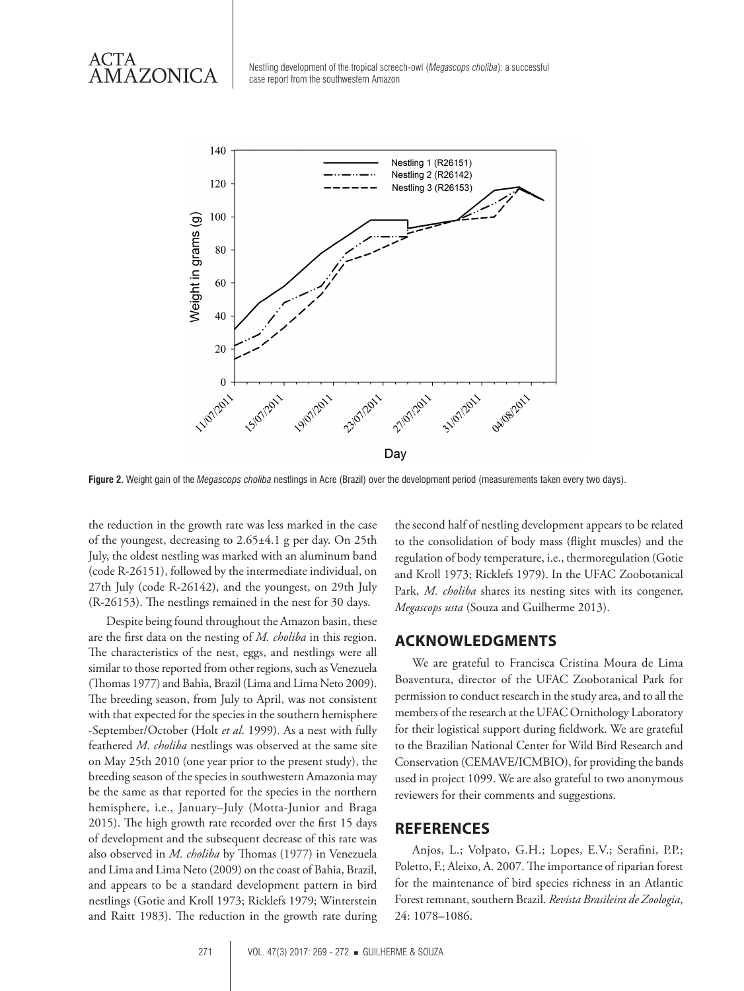ACTA

 $\widetilde{\text{AMAZONICA}}$  Nestling development of the tropical screech-owl (*Megascops choliba*): a successful<br>and  $\widetilde{\text{AMAZONICA}}$ case report from the southwestern Amazon



**Figure 2.** Weight gain of the *Megascops choliba* nestlings in Acre (Brazil) over the development period (measurements taken every two days).

the reduction in the growth rate was less marked in the case of the youngest, decreasing to 2.65±4.1 g per day. On 25th July, the oldest nestling was marked with an aluminum band (code R-26151), followed by the intermediate individual, on 27th July (code R-26142), and the youngest, on 29th July (R-26153). The nestlings remained in the nest for 30 days.

Despite being found throughout the Amazon basin, these are the first data on the nesting of *M. choliba* in this region. The characteristics of the nest, eggs, and nestlings were all similar to those reported from other regions, such as Venezuela (Thomas 1977) and Bahia, Brazil (Lima and Lima Neto 2009). The breeding season, from July to April, was not consistent with that expected for the species in the southern hemisphere -September/October (Holt *et al*. 1999). As a nest with fully feathered *M. choliba* nestlings was observed at the same site on May 25th 2010 (one year prior to the present study), the breeding season of the species in southwestern Amazonia may be the same as that reported for the species in the northern hemisphere, i.e., January–July (Motta-Junior and Braga 2015). The high growth rate recorded over the first 15 days of development and the subsequent decrease of this rate was also observed in *M. choliba* by Thomas (1977) in Venezuela and Lima and Lima Neto (2009) on the coast of Bahia, Brazil, and appears to be a standard development pattern in bird nestlings (Gotie and Kroll 1973; Ricklefs 1979; Winterstein and Raitt 1983). The reduction in the growth rate during the second half of nestling development appears to be related to the consolidation of body mass (flight muscles) and the regulation of body temperature, i.e., thermoregulation (Gotie and Kroll 1973; Ricklefs 1979). In the UFAC Zoobotanical Park, *M. choliba* shares its nesting sites with its congener, *Megascops usta* (Souza and Guilherme 2013).

### **ACKNOWLEDGMENTS**

We are grateful to Francisca Cristina Moura de Lima Boaventura, director of the UFAC Zoobotanical Park for permission to conduct research in the study area, and to all the members of the research at the UFAC Ornithology Laboratory for their logistical support during fieldwork. We are grateful to the Brazilian National Center for Wild Bird Research and Conservation (CEMAVE/ICMBIO), for providing the bands used in project 1099. We are also grateful to two anonymous reviewers for their comments and suggestions.

### **REFERENCES**

Anjos, L.; Volpato, G.H.; Lopes, E.V.; Serafini, P.P.; Poletto, F.; Aleixo, A. 2007. The importance of riparian forest for the maintenance of bird species richness in an Atlantic Forest remnant, southern Brazil. *Revista Brasileira de Zoologia*, 24: 1078–1086.